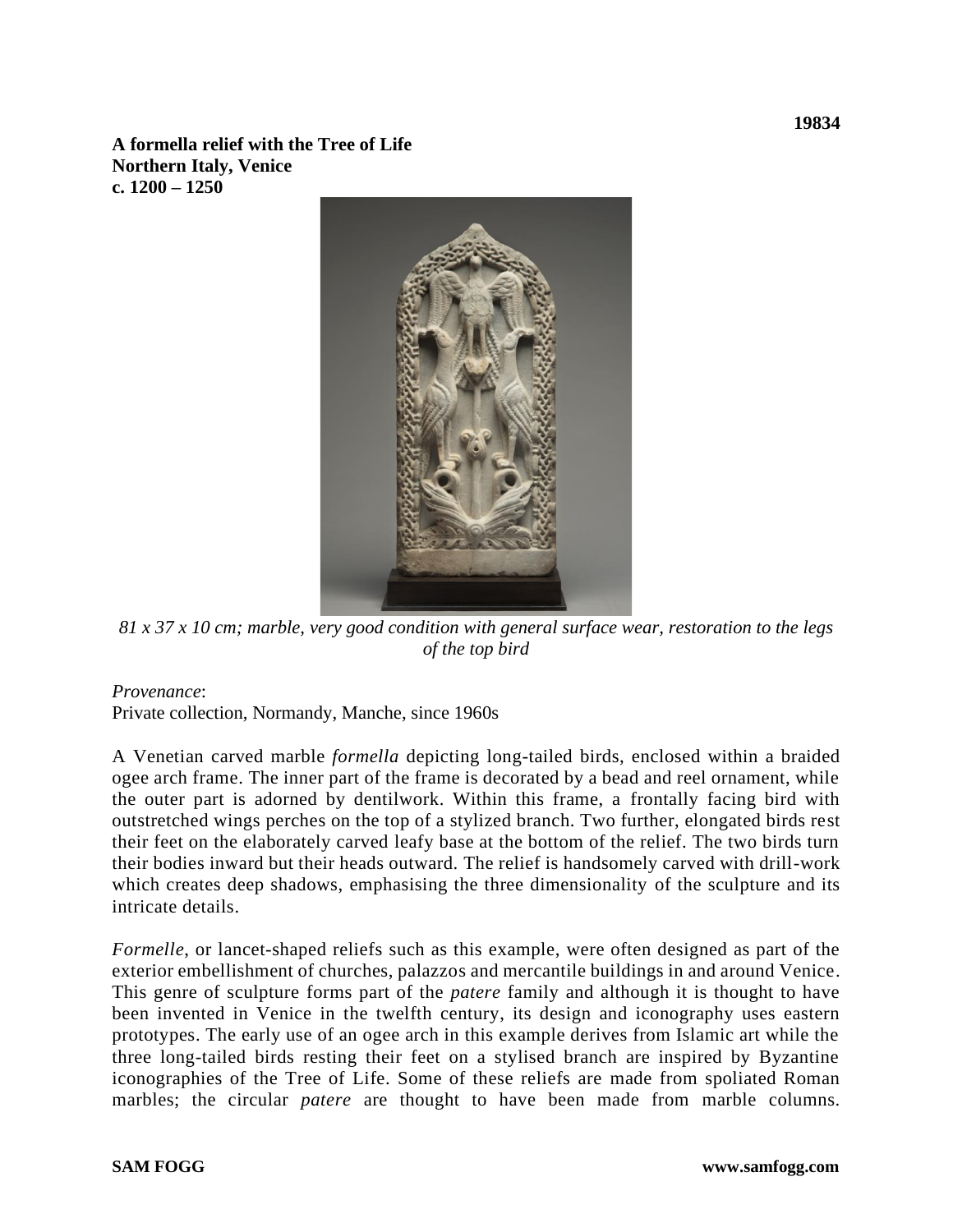**A formella relief with the Tree of Life Northern Italy, Venice c. 1200 – 1250**



*81 x 37 x 10 cm; marble, very good condition with general surface wear, restoration to the legs of the top bird*

## *Provenance*:

Private collection, Normandy, Manche, since 1960s

A Venetian carved marble *formella* depicting long-tailed birds, enclosed within a braided ogee arch frame. The inner part of the frame is decorated by a bead and reel ornament, while the outer part is adorned by dentilwork. Within this frame, a frontally facing bird with outstretched wings perches on the top of a stylized branch. Two further, elongated birds rest their feet on the elaborately carved leafy base at the bottom of the relief. The two birds turn their bodies inward but their heads outward. The relief is handsomely carved with drill-work which creates deep shadows, emphasising the three dimensionality of the sculpture and its intricate details.

*Formelle*, or lancet-shaped reliefs such as this example, were often designed as part of the exterior embellishment of churches, palazzos and mercantile buildings in and around Venice. This genre of sculpture forms part of the *patere* family and although it is thought to have been invented in Venice in the twelfth century, its design and iconography uses eastern prototypes. The early use of an ogee arch in this example derives from Islamic art while the three long-tailed birds resting their feet on a stylised branch are inspired by Byzantine iconographies of the Tree of Life. Some of these reliefs are made from spoliated Roman marbles; the circular *patere* are thought to have been made from marble columns.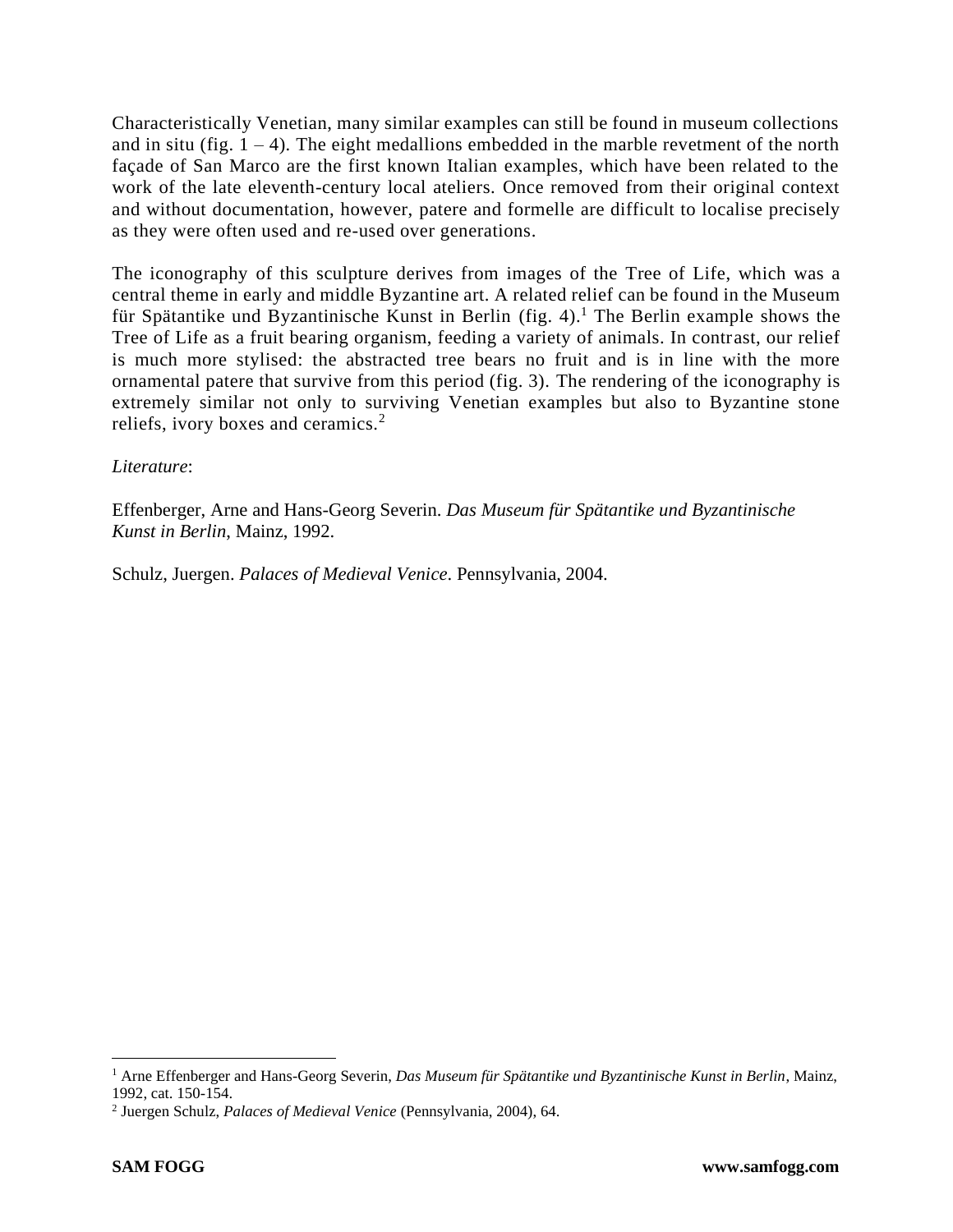Characteristically Venetian, many similar examples can still be found in museum collections and in situ (fig.  $1 - 4$ ). The eight medallions embedded in the marble revetment of the north façade of San Marco are the first known Italian examples, which have been related to the work of the late eleventh-century local ateliers. Once removed from their original context and without documentation, however, patere and formelle are difficult to localise precisely as they were often used and re-used over generations.

The iconography of this sculpture derives from images of the Tree of Life, which was a central theme in early and middle Byzantine art. A related relief can be found in the Museum für Spätantike und Byzantinische Kunst in Berlin (fig. 4). <sup>1</sup> The Berlin example shows the Tree of Life as a fruit bearing organism, feeding a variety of animals. In contrast, our relief is much more stylised: the abstracted tree bears no fruit and is in line with the more ornamental patere that survive from this period (fig. 3). The rendering of the iconography is extremely similar not only to surviving Venetian examples but also to Byzantine stone reliefs, ivory boxes and ceramics.<sup>2</sup>

## *Literature*:

Effenberger, Arne and Hans-Georg Severin. *Das Museum für Spätantike und Byzantinische Kunst in Berlin*, Mainz, 1992.

Schulz, Juergen. *Palaces of Medieval Venice*. Pennsylvania, 2004.

<sup>1</sup> Arne Effenberger and Hans-Georg Severin, *Das Museum für Spätantike und Byzantinische Kunst in Berlin*, Mainz, 1992, cat. 150-154.

<sup>2</sup> Juergen Schulz, *Palaces of Medieval Venice* (Pennsylvania, 2004), 64.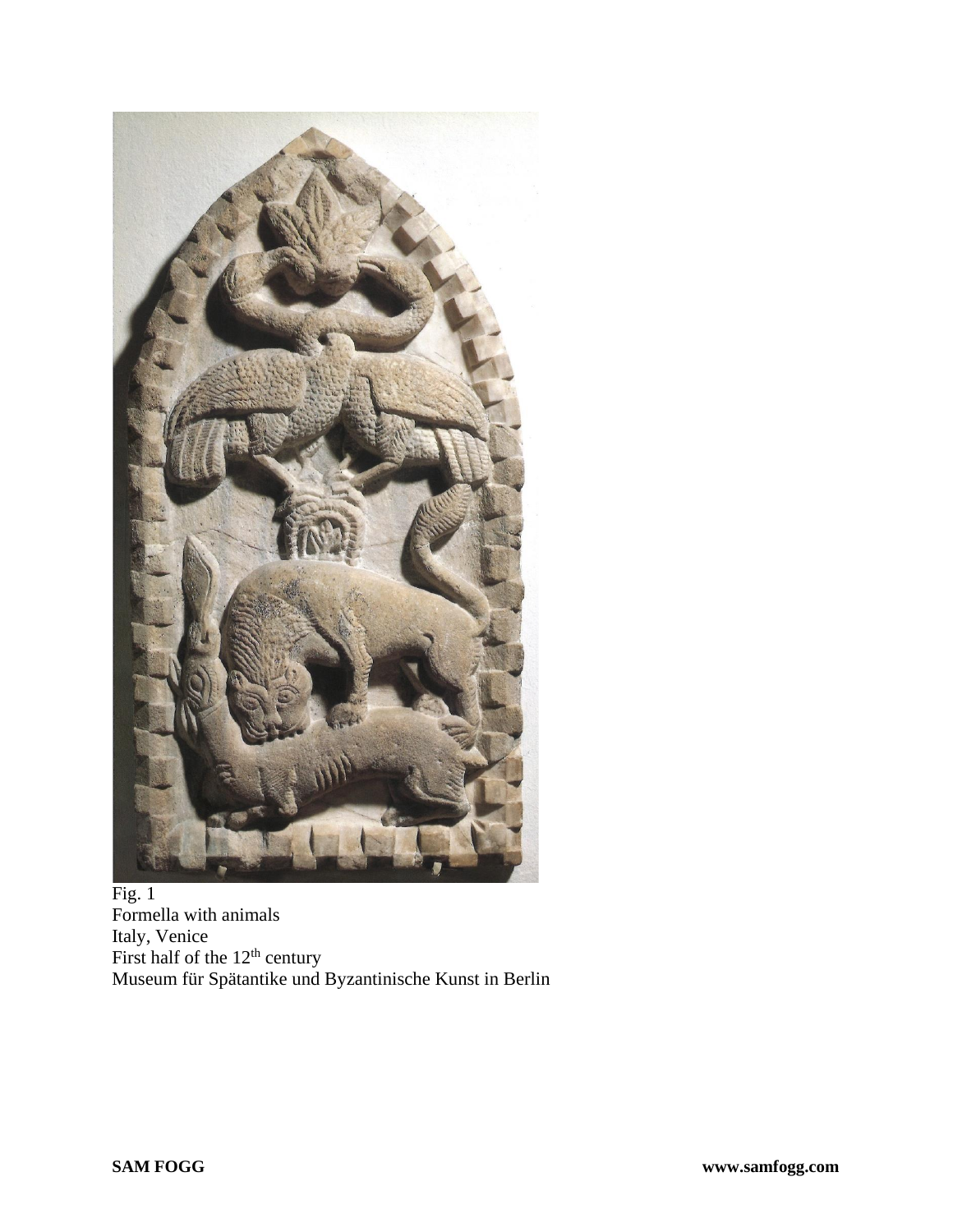

## Fig. 1 Formella with animals Italy, Venice First half of the  $12<sup>th</sup>$  century Museum für Spätantike und Byzantinische Kunst in Berlin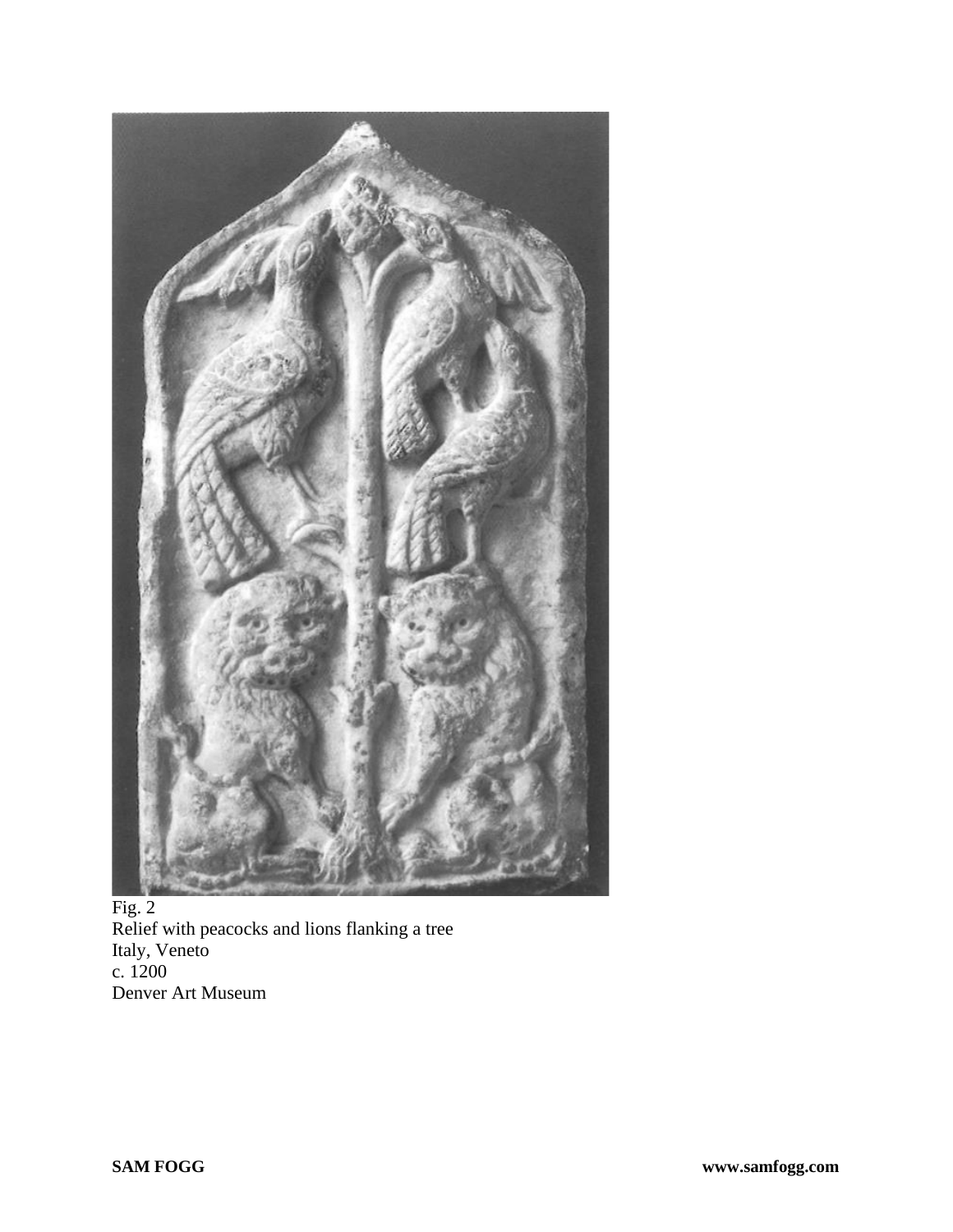

Fig. 2 Relief with peacocks and lions flanking a tree Italy, Veneto c. 1200 Denver Art Museum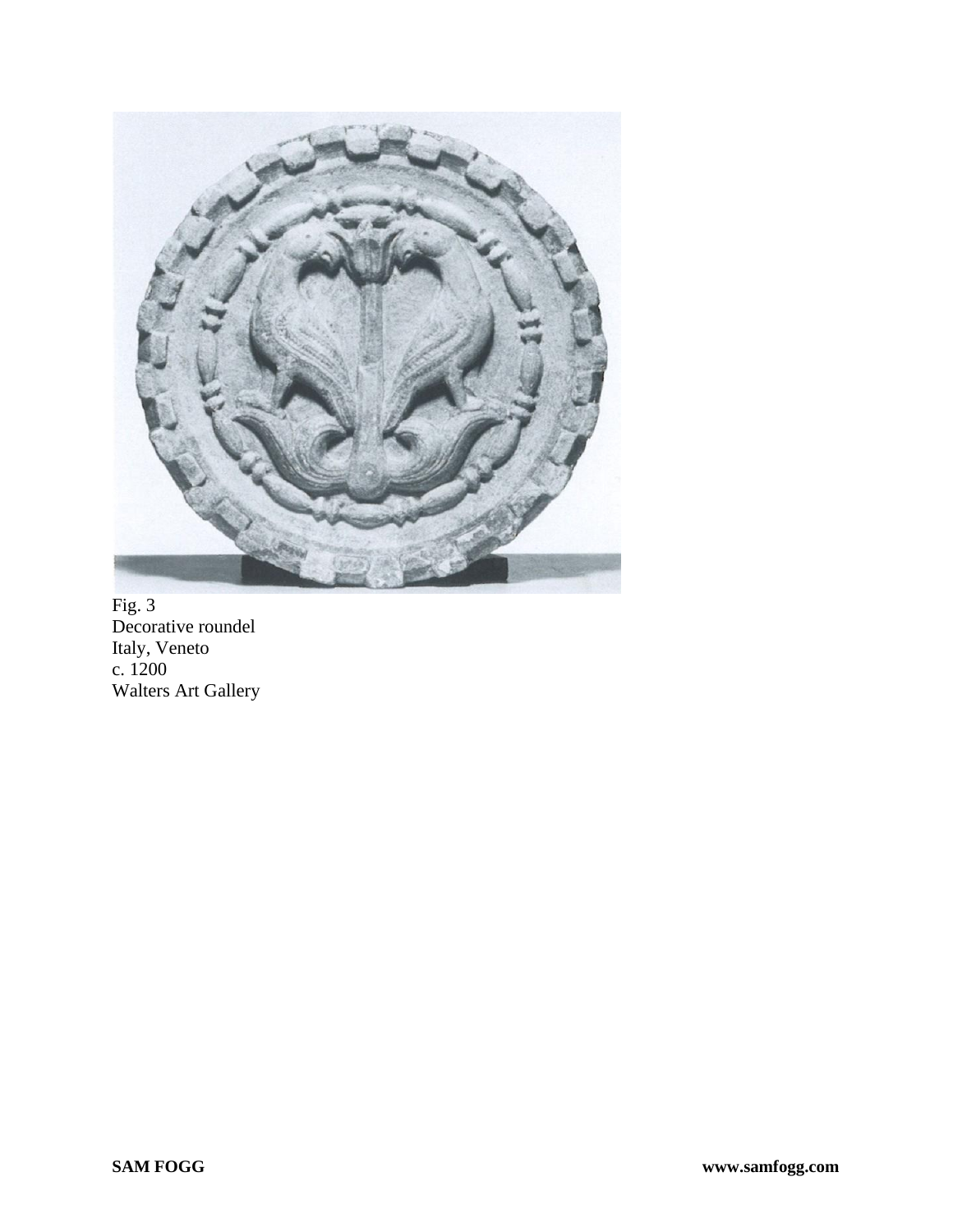

Fig. 3 Decorative roundel Italy, Veneto c. 1200 Walters Art Gallery